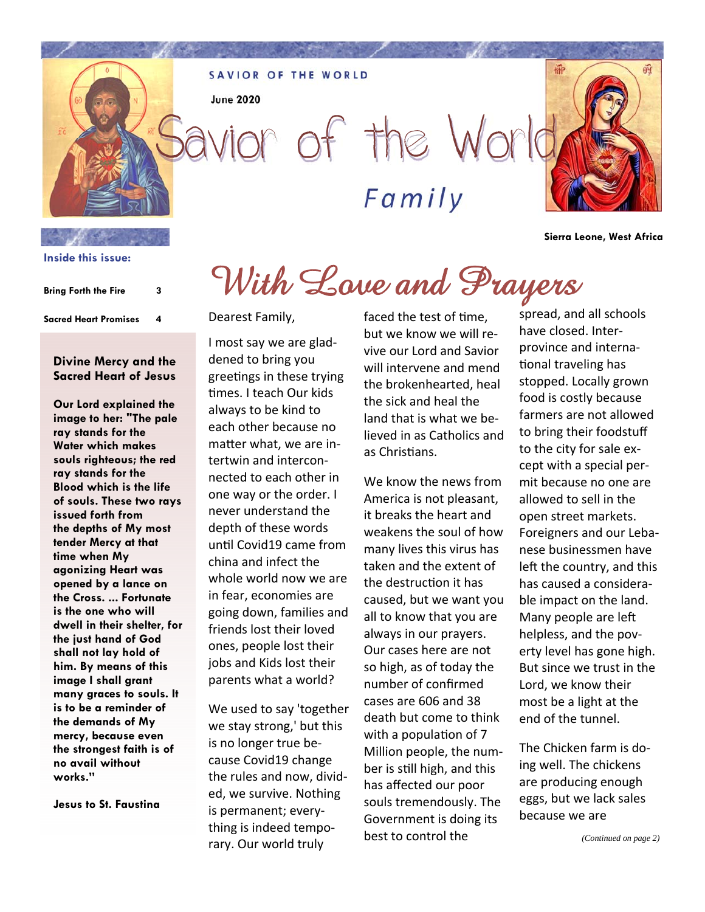**SAVIOR OF THE WORLD** 

**June 2020** 

vior of the World *Family*

**hiP** 

**Sierra Leone, West Africa** 

# With Love and Prayers

**Sacred Heart Promises 4** 

**Bring Forth the Fire 3** 

**Inside this issue:**

#### **Divine Mercy and the Sacred Heart of Jesus**

**Our Lord explained the image to her: "The pale ray stands for the Water which makes souls righteous; the red ray stands for the Blood which is the life of souls. These two rays issued forth from the depths of My most tender Mercy at that time when My agonizing Heart was opened by a lance on the Cross. ... Fortunate is the one who will dwell in their shelter, for the just hand of God shall not lay hold of him. By means of this image I shall grant many graces to souls. It is to be a reminder of the demands of My mercy, because even the strongest faith is of no avail without works."** 

**Jesus to St. Faustina** 

Dearest Family,

I most say we are gladdened to bring you greetings in these trying times. I teach Our kids always to be kind to each other because no matter what, we are intertwin and interconnected to each other in one way or the order. I never understand the depth of these words unƟl Covid19 came from china and infect the whole world now we are in fear, economies are going down, families and friends lost their loved ones, people lost their jobs and Kids lost their parents what a world?

We used to say 'together we stay strong,' but this is no longer true because Covid19 change the rules and now, divided, we survive. Nothing is permanent; everything is indeed temporary. Our world truly

faced the test of time, but we know we will revive our Lord and Savior will intervene and mend the brokenhearted, heal the sick and heal the land that is what we believed in as Catholics and as Christians.

We know the news from America is not pleasant, it breaks the heart and weakens the soul of how many lives this virus has taken and the extent of the destruction it has caused, but we want you all to know that you are always in our prayers. Our cases here are not so high, as of today the number of confirmed cases are 606 and 38 death but come to think with a population of 7 Million people, the number is still high, and this has affected our poor souls tremendously. The Government is doing its best to control the

spread, and all schools have closed. Interprovince and international traveling has stopped. Locally grown food is costly because farmers are not allowed to bring their foodstuff to the city for sale except with a special permit because no one are allowed to sell in the open street markets. Foreigners and our Lebanese businessmen have left the country, and this has caused a considerable impact on the land. Many people are left helpless, and the poverty level has gone high. But since we trust in the Lord, we know their most be a light at the end of the tunnel.

The Chicken farm is doing well. The chickens are producing enough eggs, but we lack sales because we are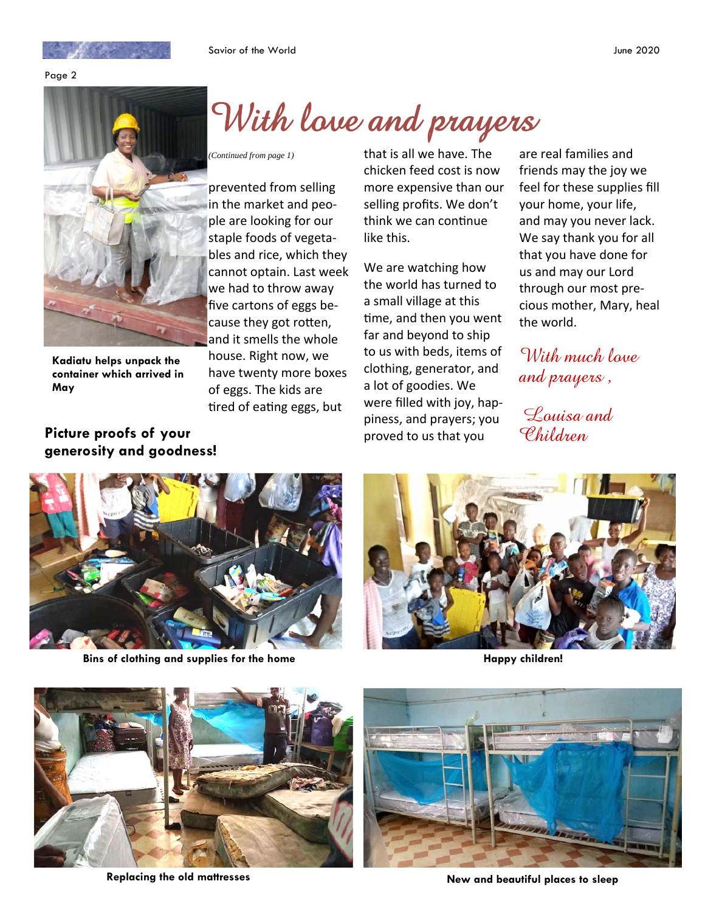

Page 2



**Kadiatu helps unpack the container which arrived in May** 

**Picture proofs of your generosity and goodness!** 

## With love and prayers

prevented from selling in the market and people are looking for our staple foods of vegetables and rice, which they cannot optain. Last week we had to throw away five cartons of eggs because they got rotten, and it smells the whole house. Right now, we have twenty more boxes of eggs. The kids are tired of eating eggs, but

*(Continued from page 1)* that is all we have. The chicken feed cost is now more expensive than our selling profits. We don't think we can continue like this.

> We are watching how the world has turned to a small village at this time, and then you went far and beyond to ship to us with beds, items of clothing, generator, and a lot of goodies. We were filled with joy, happiness, and prayers; you proved to us that you

are real families and friends may the joy we feel for these supplies fill your home, your life, and may you never lack. We say thank you for all that you have done for us and may our Lord through our most precious mother, Mary, heal the world.

With much laye and prayers ,

 Louisa and Children



**Bins of clothing and supplies for the home** 



**Happy children!** 





Replacing the old mattresses **New and beautiful places to sleep**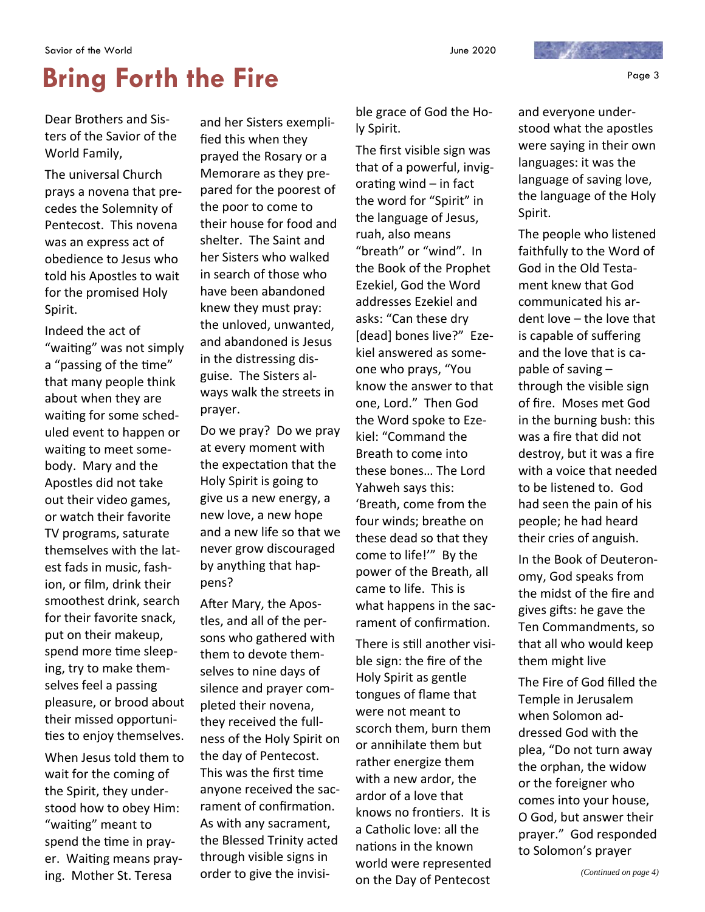### **Bring Forth the Fire 2008 State 1 and Second Proge 3**

Dear Brothers and Sisters of the Savior of the World Family,

The universal Church prays a novena that precedes the Solemnity of Pentecost. This novena was an express act of obedience to Jesus who told his Apostles to wait for the promised Holy Spirit.

Indeed the act of "waiting" was not simply a "passing of the time" that many people think about when they are waiting for some scheduled event to happen or waiting to meet somebody. Mary and the Apostles did not take out their video games, or watch their favorite TV programs, saturate themselves with the latest fads in music, fashion, or film, drink their smoothest drink, search for their favorite snack, put on their makeup, spend more time sleeping, try to make themselves feel a passing pleasure, or brood about their missed opportunities to enjoy themselves.

When Jesus told them to wait for the coming of the Spirit, they understood how to obey Him: "waiting" meant to spend the time in prayer. Waiting means praying. Mother St. Teresa

and her Sisters exemplified this when they prayed the Rosary or a Memorare as they prepared for the poorest of the poor to come to their house for food and shelter. The Saint and her Sisters who walked in search of those who have been abandoned knew they must pray: the unloved, unwanted, and abandoned is Jesus in the distressing disguise. The Sisters always walk the streets in prayer.

Do we pray? Do we pray at every moment with the expectation that the Holy Spirit is going to give us a new energy, a new love, a new hope and a new life so that we never grow discouraged by anything that happens?

After Mary, the Apostles, and all of the persons who gathered with them to devote themselves to nine days of silence and prayer completed their novena, they received the fullness of the Holy Spirit on the day of Pentecost. This was the first Ɵme anyone received the sacrament of confirmation. As with any sacrament, the Blessed Trinity acted through visible signs in order to give the invisible grace of God the Holy Spirit.

The first visible sign was that of a powerful, invigorating wind  $-$  in fact the word for "Spirit" in the language of Jesus, ruah, also means "breath" or "wind". In the Book of the Prophet Ezekiel, God the Word addresses Ezekiel and asks: "Can these dry [dead] bones live?" Ezekiel answered as someone who prays, "You know the answer to that one, Lord." Then God the Word spoke to Ezekiel: "Command the Breath to come into these bones… The Lord Yahweh says this: 'Breath, come from the four winds; breathe on these dead so that they come to life!'" By the power of the Breath, all came to life. This is what happens in the sacrament of confirmation.

There is still another visible sign: the fire of the Holy Spirit as gentle tongues of flame that were not meant to scorch them, burn them or annihilate them but rather energize them with a new ardor, the ardor of a love that knows no frontiers. It is a Catholic love: all the nations in the known world were represented on the Day of Pentecost

and everyone understood what the apostles were saying in their own languages: it was the language of saving love, the language of the Holy

Spirit.

The people who listened faithfully to the Word of God in the Old Testament knew that God communicated his ardent love – the love that is capable of suffering and the love that is capable of saving – through the visible sign of fire. Moses met God in the burning bush: this was a fire that did not destroy, but it was a fire with a voice that needed to be listened to. God had seen the pain of his people; he had heard their cries of anguish.

In the Book of Deuteronomy, God speaks from the midst of the fire and gives gifts: he gave the Ten Commandments, so that all who would keep them might live

The Fire of God filled the Temple in Jerusalem when Solomon addressed God with the plea, "Do not turn away the orphan, the widow or the foreigner who comes into your house, O God, but answer their prayer." God responded to Solomon's prayer